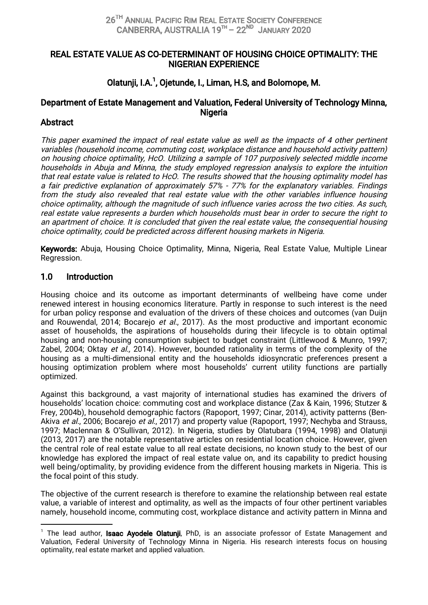### REAL ESTATE VALUE AS CO-DETERMINANT OF HOUSING CHOICE OPTIMALITY: THE NIGERIANEXPERIENCE

# Olatunii, I.A.<sup>1</sup>, Oietunde, I., Liman, H.S, and Bolomope, M.

# Department of Estate Management and Valuation, Federal University of Technology Minna, **Nigeria**

### Abstract

This paper examined the impact of real estate value as well as the impacts of 4 other pertinent variables (household income, commuting cost, workplace distance and household activity pattern) on housing choice optimality, HcO. Utilizing a sample of 107 purposively selected middle income households in Abuja and Minna, the study employed regression analysis to explore the intuition that real estate value is related to HcO. The results showed that the housing optimality model has a fair predictive explanation of approximately 57% - 77% for the explanatory variables. Findings from the study also revealed that real estate value with the other variables influence housing choice optimality, although the magnitude of such influence varies across the two cities. As such, real estate value represents a burden which households must bear in order to secure the right to an apartment of choice. It is concluded that given the real estate value, the consequential housing choice optimality, could be predicted across different housing markets in Nigeria.

Keywords: Abuja, Housing Choice Optimality, Minna, Nigeria, Real Estate Value, Multiple Linear Regression.

### 1.0 Introduction

Housing choice and its outcome as important determinants of wellbeing have come under renewed interest in housing economics literature. Partly in response to such interest is the need for urban policy response and evaluation of the drivers of these choices and outcomes (van Duijn and Rouwendal, 2014; Bocarejo et al., 2017). As the most productive and important economic asset of households, the aspirations of households during their lifecycle is to obtain optimal housing and non-housing consumption subject to budget constraint (Littlewood & Munro, 1997; Zabel, 2004; Oktay et al., 2014). However, bounded rationality in terms of the complexity of the housing as a multi-dimensional entity and the households idiosyncratic preferences present a housing optimization problem where most households' current utility functions are partially optimized.

Against this background, a vast majority of international studies has examined the drivers of households' location choice: commuting cost and workplace distance (Zax & Kain, 1996; Stutzer & Frey, 2004b), household demographic factors (Rapoport, 1997; Cinar, 2014), activity patterns (Ben-Akiva et al., 2006; Bocarejo et al., 2017) and property value (Rapoport, 1997; Nechyba and Strauss, 1997; Maclennan & O'Sullivan, 2012). In Nigeria, studies by Olatubara (1994, 1998) and Olatunji (2013, 2017) are the notable representative articles on residential location choice. However, given the central role of real estate value to all real estate decisions, no known study to the best of our knowledge has explored the impact of real estate value on, and its capability to predict housing well being/optimality, by providing evidence from the different housing markets in Nigeria. This is the focal point of this study.

The objective of the current research is therefore to examine the relationship between real estate value, a variable of interest and optimality, as well as the impacts of four other pertinent variables namely, household income, commuting cost, workplace distance and activity pattern in Minna and

<sup>&</sup>lt;sup>1</sup> The lead author, **Isaac Ayodele Olatunji**, PhD, is an associate professor of Estate Management and Valuation, Federal University of Technology Minna in Nigeria. His research interests focus on housing optimality, real estate market and applied valuation.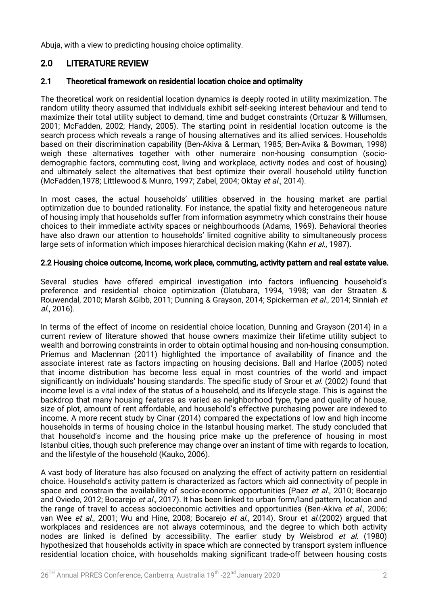Abuja, with a view to predicting housing choice optimality.

# 2.0 LITERATURE REVIEW

### 2.1 Theoretical framework on residential location choice and optimality

The theoretical work on residential location dynamics is deeply rooted in utility maximization. The random utility theory assumed that individuals exhibit self-seeking interest behaviour and tend to maximize their total utility subject to demand, time and budget constraints (Ortuzar & Willumsen, 2001; McFadden, 2002; Handy, 2005). The starting point in residential location outcome is the search process which reveals a range of housing alternatives and its allied services. Households based on their discrimination capability (Ben-Akiva & Lerman, 1985; Ben-Avika & Bowman, 1998) weigh these alternatives together with other numeraire non-housing consumption (sociodemographic factors, commuting cost, living and workplace, activity nodes and cost of housing) and ultimately select the alternatives that best optimize their overall household utility function (McFadden,1978; Littlewood & Munro, 1997; Zabel, 2004; Oktay et al., 2014).

In most cases, the actual households' utilities observed in the housing market are partial optimization due to bounded rationality. For instance, the spatial fixity and heterogeneous nature of housing imply that households suffer from information asymmetry which constrains their house choices to their immediate activity spaces or neighbourhoods (Adams, 1969). Behavioral theories have also drawn our attention to households' limited cognitive ability to simultaneously process large sets of information which imposes hierarchical decision making (Kahn et al., 1987).

#### 2.2 Housing choice outcome, Income, work place, commuting, activity pattern and real estate value.

Several studies have offered empirical investigation into factors influencing household's preference and residential choice optimization (Olatubara, 1994, 1998; van der Straaten & Rouwendal, 2010; Marsh &Gibb, 2011; Dunning & Grayson, 2014; Spickerman et al., 2014; Sinniah et al.,2016).

In terms of the effect of income on residential choice location. Dunning and Grayson (2014) in a current review of literature showed that house owners maximize their lifetime utility subject to wealth and borrowing constraints in order to obtain optimal housing and non-housing consumption. Priemus and Maclennan (2011) highlighted the importance of availability of finance and the associate interest rate as factors impacting on housing decisions. Ball and Harloe (2005) noted that income distribution has become less equal in most countries of the world and impact significantly on individuals' housing standards. The specific study of Srour et al. (2002) found that income level is a vital index of the status of a household, and its lifecycle stage. This is against the backdrop that many housing features as varied as neighborhood type, type and quality of house, size of plot, amount of rent affordable, and household's effective purchasing power are indexed to income. A more recent study by Cinar (2014) compared the expectations of low and high income households in terms of housing choice in the Istanbul housing market. The study concluded that that household's income and the housing price make up the preference of housing in most Istanbul cities, though such preference may change over an instant of time with regards to location, and the lifestyle of the household (Kauko, 2006).

A vast body of literature has also focused on analyzing the effect of activity pattern on residential choice. Household's activity pattern is characterized as factors which aid connectivity of people in space and constrain the availability of socio-economic opportunities (Paez et al., 2010; Bocarejo and Oviedo, 2012; Bocarejo et al., 2017). It has been linked to urban form/land pattern, location and the range of travel to access socioeconomic activities and opportunities (Ben-Akiva et al., 2006; van Wee et al., 2001; Wu and Hine, 2008; Bocarejo et al., 2014). Srour et al.(2002) argued that workplaces and residences are not always coterminous, and the degree to which both activity nodes are linked is defined by accessibility. The earlier study by Weisbrod et al. (1980) hypothesized that households activity in space which are connected by transport system influence residential location choice, with households making significant trade-off between housing costs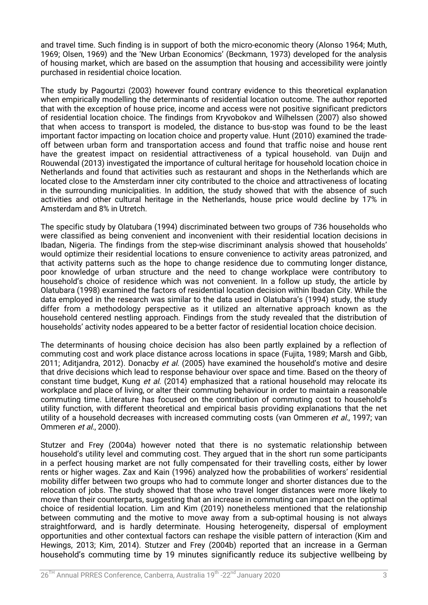and travel time. Such finding is in support of both the micro-economic theory (Alonso 1964; Muth, 1969; Olsen, 1969) and the 'New Urban Economics' (Beckmann, 1973) developed for the analysis of housing market, which are based on the assumption that housing and accessibility were jointly purchased in residential choice location.

The study by Pagourtzi (2003) however found contrary evidence to this theoretical explanation when empirically modelling the determinants of residential location outcome. The author reported that with the exception of house price, income and access were not positive significant predictors of residential location choice. The findings from Kryvobokov and Wilhelssen (2007) also showed that when access to transport is modeled, the distance to bus-stop was found to be the least important factor impacting on location choice and property value. Hunt (2010) examined the tradeoff between urban form and transportation access and found that traffic noise and house rent have the greatest impact on residential attractiveness of a typical household, van Duijn and Rouwendal (2013) investigated the importance of cultural heritage for household location choice in Netherlands and found that activities such as restaurant and shops in the Netherlands which are located close to the Amsterdam inner city contributed to the choice and attractiveness of locating in the surrounding municipalities. In addition, the study showed that with the absence of such activities and other cultural heritage in the Netherlands, house price would decline by 17% in Amsterdam and 8% in Utretch.

The specific study by Olatubara (1994) discriminated between two groups of 736 households who were classified as being convenient and inconvenient with their residential location decisions in Ibadan, Nigeria. The findings from the step-wise discriminant analysis showed that households' would optimize their residential locations to ensure convenience to activity areas patronized, and that activity patterns such as the hope to change residence due to commuting longer distance, poor knowledge of urban structure and the need to change workplace were contributory to household's choice of residence which was not convenient. In a follow up study, the article by Olatubara (1998) examined the factors of residential location decision within Ibadan City. While the data employed in the research was similar to the data used in Olatubara's (1994) study, the study differ from a methodology perspective as it utilized an alternative approach known as the household centered nestling approach. Findings from the study revealed that the distribution of households' activity nodes appeared to be a better factor of residential location choice decision.

The determinants of housing choice decision has also been partly explained by a reflection of commuting cost and work place distance across locations in space (Fujita, 1989; Marsh and Gibb, 2011; Aditiandra, 2012). Donacby et al. (2005) have examined the household's motive and desire that drive decisions which lead to response behaviour over space and time. Based on the theory of constant time budget, Kung et al. (2014) emphasized that a rational household may relocate its workplace and place of living, or alter their commuting behaviour in order to maintain a reasonable commuting time. Literature has focused on the contribution of commuting cost to household's utility function, with different theoretical and empirical basis providing explanations that the net utility of a household decreases with increased commuting costs (van Ommeren et al., 1997; van Ommeren et al., 2000).

Stutzer and Frey (2004a) however noted that there is no systematic relationship between household's utility level and commuting cost. They argued that in the short run some participants in a perfect housing market are not fully compensated for their travelling costs, either by lower rents or higher wages. Zax and Kain (1996) analyzed how the probabilities of workers' residential mobility differ between two groups who had to commute longer and shorter distances due to the relocation of jobs. The study showed that those who travel longer distances were more likely to move than their counterparts, suggesting that an increase in commuting can impact on the optimal choice of residential location. Lim and Kim (2019) nonetheless mentioned that the relationship between commuting and the motive to move away from a sub-optimal housing is not always straightforward, and is hardly determinate. Housing heterogeneity, dispersal of employment opportunities and other contextual factors can reshape the visible pattern of interaction (Kim and Hewings, 2013; Kim, 2014). Stutzer and Frey (2004b) reported that an increase in a German household's commuting time by 19 minutes significantly reduce its subjective wellbeing by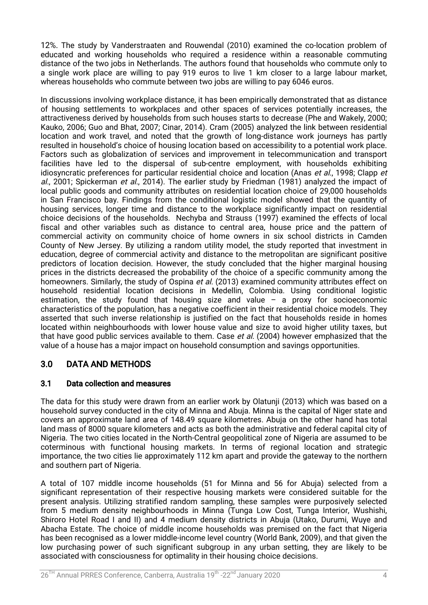12%. The study by Vanderstraaten and Rouwendal (2010) examined the co-location problem of educated and working households who required a residence within a reasonable commuting distance of the two jobs in Netherlands. The authors found that households who commute only to a single work place are willing to pay 919 euros to live 1 km closer to a large labour market, whereas households who commute between two jobs are willing to pay 6046 euros.

In discussions involving workplace distance, it has been empirically demonstrated that as distance of housing settlements to workplaces and other spaces of services potentially increases, the attractiveness derived by households from such houses starts to decrease (Phe and Wakely, 2000; Kauko, 2006; Guo and Bhat, 2007; Cinar, 2014). Cram (2005) analyzed the link between residential location and work travel, and noted that the growth of long-distance work journeys has partly resulted in household's choice of housing location based on accessibility to a potential work place. Factors such as globalization of services and improvement in telecommunication and transport facilities have led to the dispersal of sub-centre employment, with households exhibiting idiosyncratic preferences for particular residential choice and location (Anas et al., 1998; Clapp et al., 2001; Spickerman et al., 2014). The earlier study by Friedman (1981) analyzed the impact of local public goods and community attributes on residential location choice of 29,000 households in San Francisco bay. Findings from the conditional logistic model showed that the quantity of housing services, longer time and distance to the workplace significantly impact on residential choice decisions of the households. Nechyba and Strauss (1997) examined the effects of local fiscal and other variables such as distance to central area, house price and the pattern of commercial activity on community choice of home owners in six school districts in Camden County of New Jersey. By utilizing a random utility model, the study reported that investment in education, degree of commercial activity and distance to the metropolitan are significant positive predictors of location decision. However, the study concluded that the higher marginal housing prices in the districts decreased the probability of the choice of a specific community among the homeowners. Similarly, the study of Ospina et al. (2013) examined community attributes effect on household residential location decisions in Medellin, Colombia. Using conditional logistic estimation, the study found that housing size and value  $-$  a proxy for socioeconomic characteristics of the population, has a negative coefficient in their residential choice models. They asserted that such inverse relationship is justified on the fact that households reside in homes located within neighbourhoods with lower house value and size to avoid higher utility taxes, but that have good public services available to them. Case *et al.* (2004) however emphasized that the value of a house has a major impact on household consumption and savings opportunities.

# 3.0 DATAANDMETHODS

# 3.1 Data collection and measures

The data for this study were drawn from an earlier work by Olatunii (2013) which was based on a household survey conducted in the city of Minna and Abuja. Minna is the capital of Niger state and covers an approximate land area of 148.49 square kilometres. Abuja on the other hand has total land mass of 8000 square kilometers and acts as both the administrative and federal capital city of Nigeria. The two cities located in the North-Central geopolitical zone of Nigeria are assumed to be coterminous with functional housing markets. In terms of regional location and strategic importance, the two cities lie approximately 112 km apart and provide the gateway to the northern and southern part of Nigeria.

A total of 107 middle income households (51 for Minna and 56 for Abuja) selected from a significant representation of their respective housing markets were considered suitable for the present analysis. Utilizing stratified random sampling, these samples were purposively selected from 5 medium density neighbourhoods in Minna (Tunga Low Cost, Tunga Interior, Wushishi, Shiroro Hotel Road I and II) and 4 medium density districts in Abuja (Utako, Durumi, Wuye and Abacha Estate. The choice of middle income households was premised on the fact that Nigeria has been recognised as a lower middle-income level country (World Bank, 2009), and that given the low purchasing power of such significant subgroup in any urban setting, they are likely to be associated with consciousness for optimality in their housing choice decisions.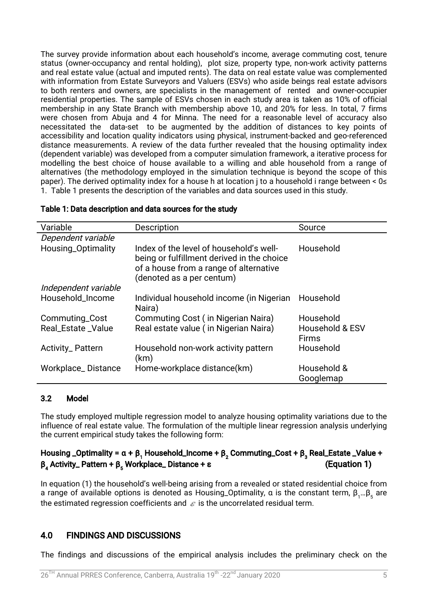The survey provide information about each household's income, average commuting cost, tenure status (owner-occupancy and rental holding), plot size, property type, non-work activity patterns and real estate value (actual and imputed rents). The data on real estate value was complemented with information from Estate Surveyors and Valuers (ESVs) who aside beings real estate advisors to both renters and owners, are specialists in the management of rented and owner-occupier residential properties. The sample of ESVs chosen in each study area is taken as 10% of official membership in any State Branch with membership above 10, and 20% for less. In total, 7 firms were chosen from Abuja and 4 for Minna. The need for a reasonable level of accuracy also necessitated the data-set to be augmented by the addition of distances to key points of accessibility and location quality indicators using physical, instrument-backed and geo-referenced distance measurements. A review of the data further revealed that the housing optimality index (dependent variable) was developed from a computer simulation framework, a iterative process for modelling the best choice of house available to a willing and able household from a range of alternatives (the methodology employed in the simulation technique is beyond the scope of this paper). The derived optimality index for a house h at location i to a household i range between < 0≤ 1. Table 1 presents the description of the variables and data sources used in this study.

| Variable                | <b>Description</b>                                                                                                                                           | Source                                     |
|-------------------------|--------------------------------------------------------------------------------------------------------------------------------------------------------------|--------------------------------------------|
| Dependent variable      |                                                                                                                                                              |                                            |
| Housing_Optimality      | Index of the level of household's well-<br>being or fulfillment derived in the choice<br>of a house from a range of alternative<br>(denoted as a per centum) | Household                                  |
| Independent variable    |                                                                                                                                                              |                                            |
| Household_Income        | Individual household income (in Nigerian<br>Naira)                                                                                                           | Household                                  |
| Commuting_Cost          | <b>Commuting Cost (in Nigerian Naira)</b>                                                                                                                    | Household                                  |
| Real_Estate_Value       | Real estate value (in Nigerian Naira)                                                                                                                        | <b>Household &amp; ESV</b><br><b>Firms</b> |
| <b>Activity_Pattern</b> | Household non-work activity pattern<br>(km)                                                                                                                  | Household                                  |
| Workplace_Distance      | Home-workplace distance(km)                                                                                                                                  | Household &<br>Googlemap                   |

#### Table 1: Data description and data sources for the study

#### 3.2 Model

The study employed multiple regression model to analyze housing optimality variations due to the influence of real estate value. The formulation of the multiple linear regression analysis underlying the current empirical study takes the following form:

# Housing \_Optimality =  $\alpha + \beta_1$  Household\_Income +  $\beta_2$  Commuting\_Cost +  $\beta_3$  Real\_Estate \_Value +  $β_4$  Activity\_ Pattern + β<sub>5</sub> Workplace\_Distance + ε (Equation 1)

In equation (1) the household's well-being arising from a revealed or stated residential choice from a range of available options is denoted as Housing\_Optimality,  $\alpha$  is the constant term,  $\beta_1...\beta_5$  are the estimated regression coefficients and  $\epsilon$  is the uncorrelated residual term.

# 4.0 FINDINGS AND DISCUSSIONS

The findings and discussions of the empirical analysis includes the preliminary check on the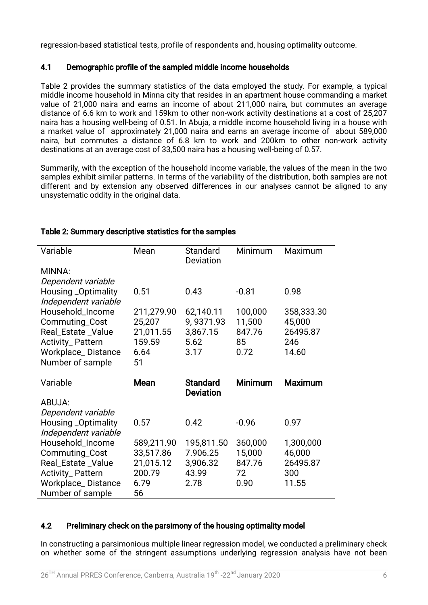regression-based statistical tests, profile of respondents and, housing optimality outcome.

### 4.1 Demographic profile of the sampled middle income households

Table 2 provides the summary statistics of the data employed the study. For example, a typical middle income household in Minna city that resides in an apartment house commanding a market value of 21,000 naira and earns an income of about 211,000 naira, but commutes an average distance of 6.6 km to work and 159km to other non-work activity destinations at a cost of 25,207 naira has a housing well-being of 0.51. In Abuja, a middle income household living in a house with a market value of approximately 21,000 naira and earns an average income of about 589,000 naira, but commutes a distance of 6.8 km to work and 200km to other non-work activity destinations at an average cost of 33,500 naira has a housing well-being of 0.57.

Summarily, with the exception of the household income variable, the values of the mean in the two samples exhibit similar patterns. In terms of the variability of the distribution, both samples are not different and by extension any observed differences in our analyses cannot be aligned to any unsystematic oddity in the original data.

| Variable                                 | Mean       | Standard<br>Deviation | Minimum        | Maximum        |
|------------------------------------------|------------|-----------------------|----------------|----------------|
| MINNA:                                   |            |                       |                |                |
| Dependent variable                       |            |                       |                |                |
| <b>Housing _Optimality</b>               | 0.51       | 0.43                  | $-0.81$        | 0.98           |
| Independent variable                     |            |                       |                |                |
| Household_Income                         | 211,279.90 | 62,140.11             | 100,000        | 358,333.30     |
| Commuting_Cost                           | 25,207     | 9,9371.93             | 11,500         | 45,000         |
| Real_Estate_Value                        | 21,011.55  | 3,867.15              | 847.76         | 26495.87       |
| Activity_Pattern                         | 159.59     | 5.62                  | 85             | 246            |
| <b>Workplace_Distance</b>                | 6.64       | 3.17                  | 0.72           | 14.60          |
| Number of sample                         | 51         |                       |                |                |
|                                          |            |                       |                |                |
|                                          |            |                       |                |                |
| Variable                                 | Mean       | <b>Standard</b>       | <b>Minimum</b> | <b>Maximum</b> |
|                                          |            | <b>Deviation</b>      |                |                |
| ABUJA:                                   |            |                       |                |                |
| Dependent variable                       | 0.57       | 0.42                  | $-0.96$        | 0.97           |
| <b>Housing _Optimality</b>               |            |                       |                |                |
| Independent variable<br>Household_Income | 589,211.90 | 195,811.50            | 360,000        | 1,300,000      |
|                                          | 33,517.86  | 7.906.25              | 15,000         | 46,000         |
| Commuting_Cost<br>Real_Estate_Value      | 21,015.12  | 3,906.32              | 847.76         | 26495.87       |
| <b>Activity_Pattern</b>                  | 200.79     | 43.99                 | 72             | 300            |
| <b>Workplace_Distance</b>                | 6.79       | 2.78                  | 0.90           | 11.55          |

### Table 2: Summary descriptive statistics for the samples

### 4.2 Preliminary check on the parsimony of the housing optimality model

In constructing a parsimonious multiple linear regression model, we conducted a preliminary check on whether some of the stringent assumptions underlying regression analysis have not been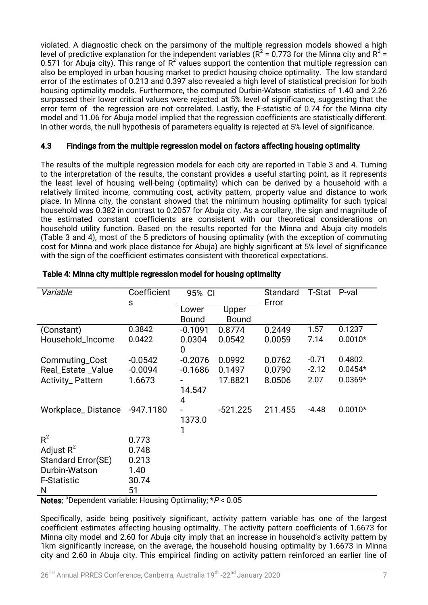violated. A diagnostic check on the parsimony of the multiple regression models showed a high level of predictive explanation for the independent variables ( $R^2$  = 0.773 for the Minna city and  $R^2$  = 0.571 for Abuja city). This range of  $R^2$  values support the contention that multiple regression can also be employed in urban housing market to predict housing choice optimality. The low standard error of the estimates of 0.213 and 0.397 also revealed a high level of statistical precision for both housing optimality models. Furthermore, the computed Durbin-Watson statistics of 1.40 and 2.26 surpassed their lower critical values were rejected at 5% level of significance, suggesting that the error term of the regression are not correlated. Lastly, the F-statistic of 0.74 for the Minna city model and 11.06 for Abuja model implied that the regression coefficients are statistically different. In other words, the null hypothesis of parameters equality is rejected at 5% level of significance.

### 4.3 Findings from the multiple regression model on factors affecting housing optimality

The results of the multiple regression models for each city are reported in Table 3 and 4. Turning to the interpretation of the results, the constant provides a useful starting point, as it represents the least level of housing well-being (optimality) which can be derived by a household with a relatively limited income, commuting cost, activity pattern, property value and distance to work place. In Minna city, the constant showed that the minimum housing optimality for such typical household was 0.382 in contrast to 0.2057 for Abuja city. As a corollary, the sign and magnitude of the estimated constant coefficients are consistent with our theoretical considerations on household utility function. Based on the results reported for the Minna and Abuja city models (Table 3 and 4), most of the 5 predictors of housing optimality (with the exception of commuting cost for Minna and work place distance for Abuja) are highly significant at 5% level of significance with the sign of the coefficient estimates consistent with theoretical expectations.

| Variable           | Coefficient | 95% CI                   |                       | Standard<br>Error | <b>T-Stat</b> | P-val     |
|--------------------|-------------|--------------------------|-----------------------|-------------------|---------------|-----------|
|                    | $\mathsf S$ | Lower<br><b>Bound</b>    | Upper<br><b>Bound</b> |                   |               |           |
| (Constant)         | 0.3842      | $-0.1091$                | 0.8774                | 0.2449            | 1.57          | 0.1237    |
| Household_Income   | 0.0422      | 0.0304<br>$\overline{0}$ | 0.0542                | 0.0059            | 7.14          | $0.0010*$ |
| Commuting_Cost     | $-0.0542$   | $-0.2076$                | 0.0992                | 0.0762            | $-0.71$       | 0.4802    |
| Real_Estate_Value  | $-0.0094$   | $-0.1686$                | 0.1497                | 0.0790            | $-2.12$       | $0.0454*$ |
| Activity_Pattern   | 1.6673      | 14.547<br>4              | 17.8821               | 8.0506            | 2.07          | $0.0369*$ |
| Workplace_Distance | $-947.1180$ | 1373.0                   | $-521.225$            | 211.455           | $-4.48$       | $0.0010*$ |
| $R^2$              | 0.773       |                          |                       |                   |               |           |
| Adjust $R^2$       | 0.748       |                          |                       |                   |               |           |
| Standard Error(SE) | 0.213       |                          |                       |                   |               |           |
| Durbin-Watson      | 1.40        |                          |                       |                   |               |           |
| <b>F-Statistic</b> | 30.74       |                          |                       |                   |               |           |
| N                  | 51          |                          |                       |                   |               |           |

### Table 4: Minna city multiple regression model for housing optimality

Notes:  $a^2$ Dependent variable: Housing Optimality:  $*P < 0.05$ 

Specifically, aside being positively significant, activity pattern variable has one of the largest coefficient estimates affecting housing optimality. The activity pattern coefficients of 1.6673 for Minna city model and 2.60 for Abuja city imply that an increase in household's activity pattern by 1km significantly increase, on the average, the household housing optimality by 1.6673 in Minna city and 2.60 in Abuja city. This empirical finding on activity pattern reinforced an earlier line of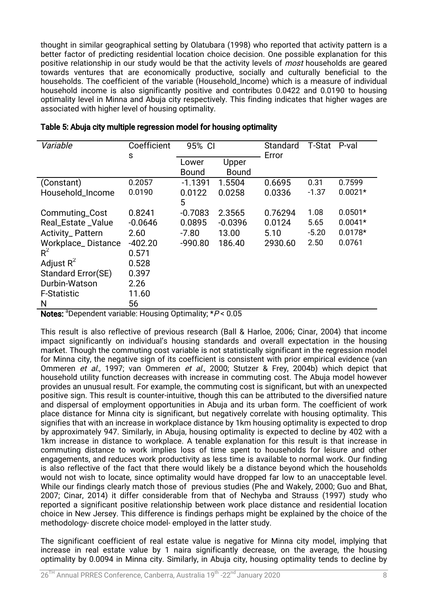thought in similar geographical setting by Olatubara (1998) who reported that activity pattern is a better factor of predicting residential location choice decision. One possible explanation for this positive relationship in our study would be that the activity levels of *most* households are geared towards ventures that are economically productive, socially and culturally beneficial to the households. The coefficient of the variable (Household\_Income) which is a measure of individual household income is also significantly positive and contributes 0.0422 and 0.0190 to housing optimality level in Minna and Abuja city respectively. This finding indicates that higher wages are associated with higher level of housing optimality.

| Variable                | Coefficient | 95% CI                |                       | Standard | <b>T-Stat</b> | P-val     |
|-------------------------|-------------|-----------------------|-----------------------|----------|---------------|-----------|
|                         | S           | Lower<br><b>Bound</b> | Upper<br><b>Bound</b> | Error    |               |           |
| (Constant)              | 0.2057      | $-1.1391$             | 1.5504                | 0.6695   | 0.31          | 0.7599    |
| Household_Income        | 0.0190      | 0.0122                | 0.0258                | 0.0336   | $-1.37$       | $0.0021*$ |
|                         |             | 5                     |                       |          |               |           |
| Commuting_Cost          | 0.8241      | $-0.7083$             | 2.3565                | 0.76294  | 1.08          | $0.0501*$ |
| Real_Estate_Value       | $-0.0646$   | 0.0895                | $-0.0396$             | 0.0124   | 5.65          | $0.0041*$ |
| <b>Activity_Pattern</b> | 2.60        | $-7.80$               | 13.00                 | 5.10     | $-5.20$       | $0.0178*$ |
| Workplace_Distance      | $-402.20$   | $-990.80$             | 186.40                | 2930.60  | 2.50          | 0.0761    |
| $R^2$                   | 0.571       |                       |                       |          |               |           |
| Adjust $R^2$            | 0.528       |                       |                       |          |               |           |
| Standard Error(SE)      | 0.397       |                       |                       |          |               |           |
| Durbin-Watson           | 2.26        |                       |                       |          |               |           |
| <b>F-Statistic</b>      | 11.60       |                       |                       |          |               |           |
| N                       | 56          |                       |                       |          |               |           |

Notes: <sup>a</sup>Dependent variable: Housing Optimality;  $*P < 0.05$ 

This result is also reflective of previous research (Ball & Harloe, 2006; Cinar, 2004) that income impact significantly on individual's housing standards and overall expectation in the housing market. Though the commuting cost variable is not statistically significant in the regression model for Minna city, the negative sign of its coefficient is consistent with prior empirical evidence (van Ommeren et al., 1997; van Ommeren et al., 2000; Stutzer & Frey, 2004b) which depict that household utility function decreases with increase in commuting cost. The Abuja model however provides an unusual result. For example, the commuting cost is significant, but with an unexpected positive sign. This result is counter-intuitive, though this can be attributed to the diversified nature and dispersal of employment opportunities in Abuja and its urban form. The coefficient of work place distance for Minna city is significant, but negatively correlate with housing optimality. This signifies that with an increase in workplace distance by 1km housing optimality is expected to drop by approximately 947. Similarly, in Abuja, housing optimality is expected to decline by 402 with a 1km increase in distance to workplace. A tenable explanation for this result is that increase in commuting distance to work implies loss of time spent to households for leisure and other engagements, and reduces work productivity as less time is available to normal work. Our finding is also reflective of the fact that there would likely be a distance beyond which the households would not wish to locate, since optimality would have dropped far low to an unacceptable level. While our findings clearly match those of previous studies (Phe and Wakely, 2000; Guo and Bhat, 2007; Cinar, 2014) it differ considerable from that of Nechyba and Strauss (1997) study who reported a significant positive relationship between work place distance and residential location choice in New Jersey. This difference is findings perhaps might be explained by the choice of the methodology-discrete choice model-employed in the latter study.

The significant coefficient of real estate value is negative for Minna city model, implying that increase in real estate value by 1 naira significantly decrease, on the average, the housing optimality by 0.0094 in Minna city. Similarly, in Abuja city, housing optimality tends to decline by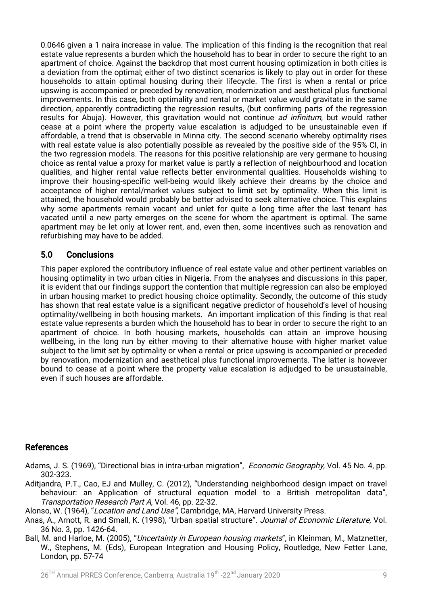0.0646 given a 1 naira increase in value. The implication of this finding is the recognition that real estate value represents a burden which the household has to bear in order to secure the right to an apartment of choice. Against the backdrop that most current housing optimization in both cities is a deviation from the optimal; either of two distinct scenarios is likely to play out in order for these households to attain optimal housing during their lifecycle. The first is when a rental or price upswing is accompanied or preceded by renovation, modernization and aesthetical plus functional improvements. In this case, both optimality and rental or market value would gravitate in the same direction, apparently contradicting the regression results, (but confirming parts of the regression results for Abuja). However, this gravitation would not continue *ad infinitum*, but would rather cease at a point where the property value escalation is adiudged to be unsustainable even if affordable, a trend that is observable in Minna city. The second scenario whereby optimality rises with real estate value is also potentially possible as revealed by the positive side of the 95% CI, in the two regression models. The reasons for this positive relationship are very germane to housing choice as rental value a proxy for market value is partly a reflection of neighbourhood and location qualities, and higher rental value reflects better environmental qualities. Households wishing to improve their housing-specific well-being would likely achieve their dreams by the choice and acceptance of higher rental/market values subject to limit set by optimality. When this limit is attained, the household would probably be better advised to seek alternative choice. This explains why some apartments remain vacant and unlet for quite a long time after the last tenant has vacated until a new party emerges on the scene for whom the apartment is optimal. The same apartment may be let only at lower rent, and, even then, some incentives such as renovation and refurbishing may have to be added.

### 5.0 Conclusions

This paper explored the contributory influence of real estate value and other pertinent variables on housing optimality in two urban cities in Nigeria. From the analyses and discussions in this paper, it is evident that our findings support the contention that multiple regression can also be employed in urban housing market to predict housing choice optimality. Secondly, the outcome of this study has shown that real estate value is a significant negative predictor of household's level of housing optimality/wellbeing in both housing markets. An important implication of this finding is that real estate value represents a burden which the household has to bear in order to secure the right to an apartment of choice. In both housing markets, households can attain an improve housing wellbeing, in the long run by either moving to their alternative house with higher market value subject to the limit set by optimality or when a rental or price upswing is accompanied or preceded by renovation, modernization and aesthetical plus functional improvements. The latter is however bound to cease at a point where the property value escalation is adjudged to be unsustainable. even if such houses are affordable.

### References

Adams, J. S. (1969), "Directional bias in intra-urban migration", *Economic Geography*, Vol. 45 No. 4, pp. 302-323.

Aditjandra, P.T., Cao, EJ and Mulley, C. (2012), "Understanding neighborhood design impact on travel behaviour: an Application of structural equation model to a British metropolitan data", Transportation Research Part A, Vol. 46, pp. 22-32.

Alonso, W. (1964), "Location and Land Use", Cambridge, MA, Harvard University Press.

- Anas, A., Arnott, R. and Small, K. (1998), "Urban spatial structure". Journal of Economic Literature, Vol. 36No.3,pp.1426-64.
- Ball, M. and Harloe, M. (2005), "Uncertainty in European housing markets", in Kleinman, M., Matznetter, W., Stephens, M. (Eds), European Integration and Housing Policy, Routledge, New Fetter Lane, London,  $pp.57-74$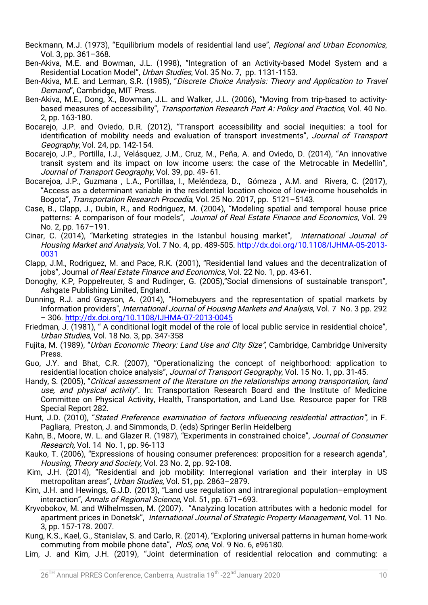- Beckmann, M.J. (1973), "Equilibrium models of residential land use", Regional and Urban Economics, Vol.3,pp.361–368.
- Ben-Akiva, M.E. and Bowman, J.L. (1998), "Integration of an Activity-based Model System and a Residential Location Model", Urban Studies, Vol. 35 No. 7, pp. 1131-1153.
- Ben-Akiva, M.E. and Lerman, S.R. (1985), "Discrete Choice Analysis: Theory and Application to Travel Demand", Cambridge, MIT Press.
- Ben-Akiva, M.E., Dong, X., Bowman, J.L. and Walker, J.L. (2006), "Moving from trip-based to activitybased measures of accessibility", Transportation Research Part A: Policy and Practice, Vol. 40 No. 2,pp.163-180.
- Bocarejo, J.P. and Oviedo, D.R. (2012), "Transport accessibility and social inequities: a tool for identification of mobility needs and evaluation of transport investments", Journal of Transport Geography, Vol. 24, pp. 142-154.
- Bocarejo, J.P., Portilla, I.J., Velásquez, J.M., Cruz, M., Peña, A. and Oviedo, D. (2014), "An innovative transit system and its impact on low income users: the case of the Metrocable in Medellín". Journal of Transport Geography, Vol. 39, pp. 49-61.
- Bocarejoa, J.P., Guzmana, L.A., Portillaa, I., Meléndeza, D., Gómeza, A.M. and Rivera, C. (2017), "Access as a determinant variable in the residential location choice of low-income households in Bogota", Transportation Research Procedia, Vol. 25 No. 2017, pp. 5121–5143.
- Case, B., Clapp, J., Dubin, R., and Rodriguez, M. (2004). "Modeling spatial and temporal house price patterns: A comparison of four models", Journal of Real Estate Finance and Economics, Vol. 29 No.2,pp.167–191.
- Cinar, C. (2014), "Marketing strategies in the Istanbul housing market", International Journal of Housing Market and Analysis, Vol. 7 No. 4, pp. 489-505. http://dx.doi.org/10.1108/IJHMA-05-2013-0031
- Clapp, J.M., Rodriguez, M. and Pace, R.K. (2001), "Residential land values and the decentralization of jobs", Journal of Real Estate Finance and Economics, Vol. 22 No. 1, pp. 43-61.
- Donoghy, K.P, Poppelreuter, S and Rudinger, G. (2005), "Social dimensions of sustainable transport", Ashgate Publishing Limited, England.
- Dunning, R.J. and Grayson, A. (2014), "Homebuyers and the representation of spatial markets by Information providers", *International Journal of Housing Markets and Analysis*, Vol. 7 No. 3 pp. 292 –306.http://dx.doi.org/10.1108/IJHMA-07-2013-0045
- Friedman, J. (1981), "A conditional logit model of the role of local public service in residential choice", Urban Studies, Vol. 18 No. 3, pp. 347-358
- Fujita, M. (1989), "Urban Economic Theory: Land Use and City Size", Cambridge, Cambridge University Press.
- Guo, J.Y. and Bhat, C.R. (2007), "Operationalizing the concept of neighborhood: application to residential location choice analysis", Journal of Transport Geography, Vol. 15 No. 1, pp. 31-45.
- Handy, S. (2005), "Critical assessment of the literature on the relationships among transportation, land use, and physical activity". In: Transportation Research Board and the Institute of Medicine Committee on Physical Activity, Health, Transportation, and Land Use. Resource paper for TRB Special Report 282.
- Hunt, J.D. (2010), "Stated Preference examination of factors influencing residential attraction", in F. Pagliara, Preston, J. and Simmonds, D. (eds) Springer Berlin Heidelberg
- Kahn, B., Moore, W. L. and Glazer R. (1987), "Experiments in constrained choice", Journal of Consumer Research, Vol. 14 No. 1, pp. 96-113
- Kauko, T. (2006), "Expressions of housing consumer preferences: proposition for a research agenda", Housing, Theory and Society, Vol. 23 No. 2, pp. 92-108.
- Kim, J.H. (2014), "Residential and job mobility: Interregional variation and their interplay in US metropolitan areas", Urban Studies, Vol. 51, pp. 2863–2879.
- Kim, J.H. and Hewings, G.J.D. (2013), "Land use regulation and intraregional population–employment interaction", Annals of Regional Science, Vol. 51, pp. 671–693.
- Kryvobokov, M. and Wilhelmssen, M. (2007). "Analyzing location attributes with a hedonic model for apartment prices in Donetsk", International Journal of Strategic Property Management, Vol. 11 No. 3,pp.157-178.2007.
- Kung, K.S., Kael, G., Stanislav, S. and Carlo, R. (2014), "Exploring universal patterns in human home-work commuting from mobile phone data", PloS, one, Vol. 9 No. 6, e96180.
- Lim, J. and Kim, J.H. (2019), "Joint determination of residential relocation and commuting: a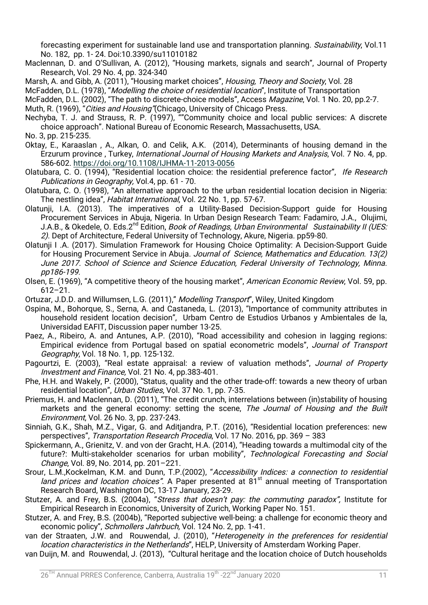forecasting experiment for sustainable land use and transportation planning. Sustainability, Vol.11 No. 182, pp. 1-24. Doi:10.3390/su11010182

- Maclennan, D. and O'Sullivan, A. (2012), "Housing markets, signals and search", Journal of Property Research, Vol. 29 No. 4, pp. 324-340
- Marsh, A. and Gibb, A. (2011), "Housing market choices", Housing, Theory and Society, Vol. 28

McFadden, D.L. (1978), "Modelling the choice of residential location", Institute of Transportation

McFadden, D.L. (2002), "The path to discrete-choice models", Access Magazine, Vol. 1 No. 20, pp.2-7.

Muth, R. (1969), "Cities and Housing"(Chicago, University of Chicago Press.

- Nechyba, T. J. and Strauss, R. P. (1997), ""Community choice and local public services: A discrete choice approach". National Bureau of Economic Research, Massachusetts, USA.
- No.3,pp.215-235.
- Oktay, E., Karaaslan, A., Alkan, O. and Celik, A.K. (2014), Determinants of housing demand in the Erzurum province, Turkey, *International Journal of Housing Markets and Analysis*, Vol. 7 No. 4, pp. 586-602.https://doi.org/10.1108/IJHMA-11-2013-0056
- Olatubara, C. O. (1994), "Residential location choice: the residential preference factor", Ife Research Publications in Geography, Vol.4, pp. 61 - 70.
- Olatubara, C. O. (1998), "An alternative approach to the urban residential location decision in Nigeria: The nestling idea", Habitat International, Vol. 22 No. 1, pp. 57-67.
- Olatunii, I.A. (2013). The imperatives of a Utility-Based Decision-Support quide for Housing Procurement Services in Abuja, Nigeria. In Urban Design Research Team: Fadamiro, J.A., Olujimi, J.A.B., & Okedele, O. Eds.2<sup>nd</sup> Edition, Book of Readings, Urban Environmental Sustainability II (UES: 2). Dept of Architecture, Federal University of Technology, Akure, Nigeria. pp59-80.
- Olatunji I.A. (2017). Simulation Framework for Housing Choice Optimality: A Decision-Support Guide for Housing Procurement Service in Abuja. Journal of Science, Mathematics and Education. 13(2) June 2017. School of Science and Science Education, Federal University of Technology, Minna. pp186-199.
- Olsen, E. (1969), "A competitive theory of the housing market", American Economic Review, Vol. 59, pp. 612–21.
- Ortuzar, J.D.D. and Willumsen, L.G. (2011)," Modelling Transport", Wiley, United Kingdom
- Ospina, M., Bohorque, S., Serna, A. and Castaneda, L. (2013), "Importance of community attributes in household resident location decision", Urbam Centro de Estudios Urbanos y Ambientales de la, Universidad EAFIT, Discussion paper number 13-25.
- Paez, A., Ribeiro, A. and Antunes, A.P. (2010), "Road accessibility and cohesion in lagging regions: Empirical evidence from Portugal based on spatial econometric models", Journal of Transport Geography, Vol. 18 No. 1, pp. 125-132.
- Pagourtzi, E. (2003), "Real estate appraisal: a review of valuation methods", Journal of Property Investment and Finance, Vol. 21 No. 4, pp.383-401.
- Phe, H.H. and Wakely, P. (2000), "Status, quality and the other trade-off: towards a new theory of urban residential location", Urban Studies, Vol. 37 No. 1, pp. 7-35.
- Priemus, H. and Maclennan, D. (2011), "The credit crunch, interrelations between (in)stability of housing markets and the general economy: setting the scene, The Journal of Housing and the Built Environment, Vol. 26 No. 3, pp. 237-243.
- Sinniah, G.K., Shah, M.Z., Vigar, G. and Aditjandra, P.T. (2016), "Residential location preferences: new perspectives", Transportation Research Procedia, Vol. 17 No. 2016, pp. 369 - 383
- Spickermann, A., Grienitz, V. and von der Gracht, H.A. (2014), "Heading towards a multimodal city of the future?: Multi-stakeholder scenarios for urban mobility", Technological Forecasting and Social Change, Vol. 89, No. 2014, pp. 201-221.
- Srour, L.M.,Kockelman, K.M. and Dunn, T.P.(2002), "Accessibility Indices: a connection to residential land prices and location choices". A Paper presented at  $81<sup>st</sup>$  annual meeting of Transportation Research Board, Washington DC, 13-17 January, 23-29.
- Stutzer, A. and Frey, B.S. (2004a), "Stress that doesn't pay: the commuting paradox", Institute for Empirical Research in Economics, University of Zurich, Working Paper No. 151.
- Stutzer, A. and Frey, B.S. (2004b), "Reported subjective well-being: a challenge for economic theory and economic policy", Schmollers Jahrbuch, Vol. 124 No. 2, pp. 1-41.
- van der Straaten, J.W. and Rouwendal, J. (2010), "Heterogeneity in the preferences for residential location characteristics in the Netherlands", HELP, University of Amsterdam Working Paper.
- van Duijn, M. and Rouwendal, J. (2013), "Cultural heritage and the location choice of Dutch households